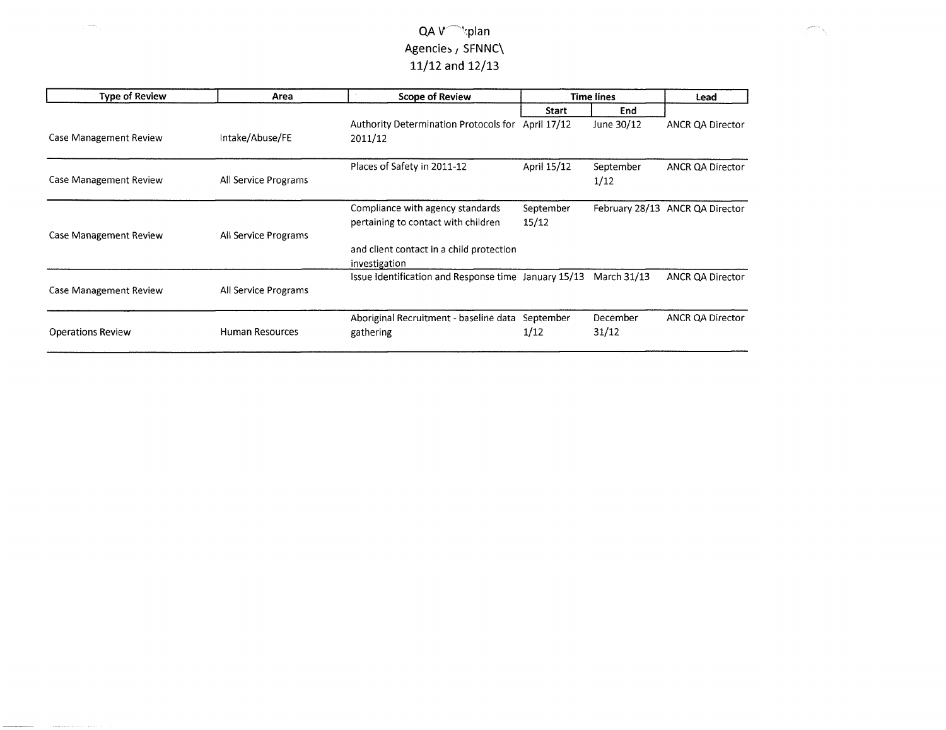| <b>Type of Review</b>         | Area                   | <b>Scope of Review</b>                                    | <b>Time lines</b> |             | Lead                            |
|-------------------------------|------------------------|-----------------------------------------------------------|-------------------|-------------|---------------------------------|
|                               |                        |                                                           | <b>Start</b>      | End         |                                 |
|                               |                        | Authority Determination Protocols for                     | April 17/12       | June 30/12  | <b>ANCR QA Director</b>         |
| Case Management Review        | Intake/Abuse/FE        | 2011/12                                                   |                   |             |                                 |
|                               |                        | Places of Safety in 2011-12                               | April 15/12       | September   | <b>ANCR QA Director</b>         |
| Case Management Review        | All Service Programs   |                                                           |                   | 1/12        |                                 |
|                               |                        | Compliance with agency standards                          | September         |             | February 28/13 ANCR QA Director |
| <b>Case Management Review</b> | All Service Programs   | pertaining to contact with children                       | 15/12             |             |                                 |
|                               |                        | and client contact in a child protection<br>investigation |                   |             |                                 |
| Case Management Review        | All Service Programs   | Issue Identification and Response time January 15/13      |                   | March 31/13 | ANCR QA Director                |
|                               |                        | Aboriginal Recruitment - baseline data                    | September         | December    | <b>ANCR QA Director</b>         |
| <b>Operations Review</b>      | <b>Human Resources</b> | gathering                                                 | 1/12              | 31/12       |                                 |